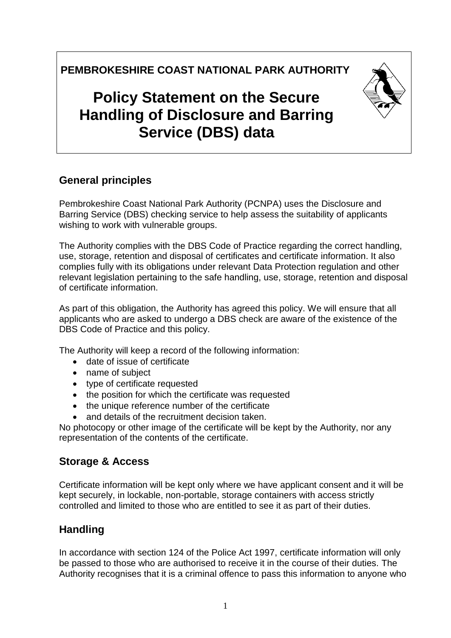**PEMBROKESHIRE COAST NATIONAL PARK AUTHORITY**

# **Policy Statement on the Secure Handling of Disclosure and Barring Service (DBS) data**

## **General principles**

Pembrokeshire Coast National Park Authority (PCNPA) uses the Disclosure and Barring Service (DBS) checking service to help assess the suitability of applicants wishing to work with vulnerable groups.

The Authority complies with the DBS Code of Practice regarding the correct handling, use, storage, retention and disposal of certificates and certificate information. It also complies fully with its obligations under relevant Data Protection regulation and other relevant legislation pertaining to the safe handling, use, storage, retention and disposal of certificate information.

As part of this obligation, the Authority has agreed this policy. We will ensure that all applicants who are asked to undergo a DBS check are aware of the existence of the DBS Code of Practice and this policy.

The Authority will keep a record of the following information:

- date of issue of certificate
- name of subject
- type of certificate requested
- the position for which the certificate was requested
- the unique reference number of the certificate
- and details of the recruitment decision taken.

No photocopy or other image of the certificate will be kept by the Authority, nor any representation of the contents of the certificate.

#### **Storage & Access**

Certificate information will be kept only where we have applicant consent and it will be kept securely, in lockable, non-portable, storage containers with access strictly controlled and limited to those who are entitled to see it as part of their duties.

#### **Handling**

In accordance with section 124 of the Police Act 1997, certificate information will only be passed to those who are authorised to receive it in the course of their duties. The Authority recognises that it is a criminal offence to pass this information to anyone who